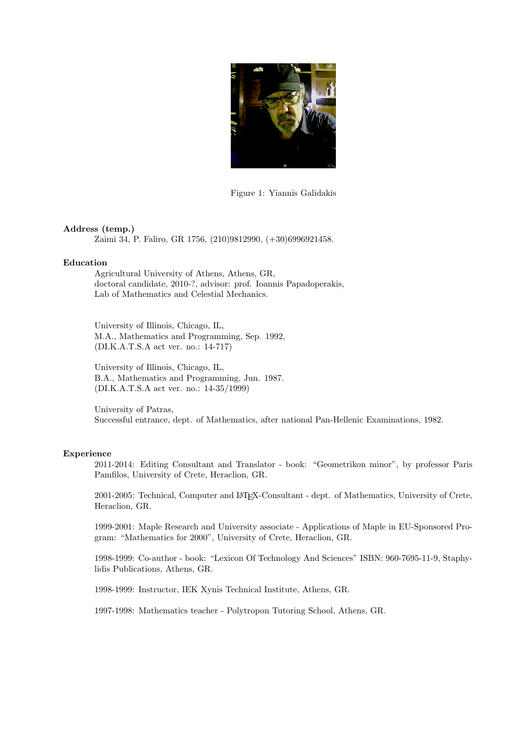

Figure 1: Yiannis Galidakis

## **Address (temp.)**

Zaimi 34, P. Faliro, GR 1756, (210)9812990, (+30)6996921458.

## **Education**

Agricultural University of Athens, Athens, GR, doctoral candidate, 2010-?, advisor: prof. Ioannis Papadoperakis, Lab of Mathematics and Celestial Mechanics.

University of Illinois, Chicago, IL, M.A., Mathematics and Programming, Sep. 1992, (DI.K.A.T.S.A act ver. no.: 14-717)

University of Illinois, Chicago, IL, B.A., Mathematics and Programming, Jun. 1987. (DI.K.A.T.S.A act ver. no.: 14-35/1999)

University of Patras, Successful entrance, dept. of Mathematics, after national Pan-Hellenic Examinations, 1982.

# **Experience**

2011-2014: Editing Consultant and Translator - book: "Geometrikon minor", by professor Paris Pamfilos, University of Crete, Heraclion, GR.

2001-2005: Technical, Computer and LATEX-Consultant - dept. of Mathematics, University of Crete, Heraclion, GR.

1999-2001: Maple Research and University associate - Applications of Maple in EU-Sponsored Program: "Mathematics for 2000", University of Crete, Heraclion, GR.

1998-1999: Co-author - book: "Lexicon Of Technology And Sciences" ISBN: 960-7695-11-9, Staphylidis Publications, Athens, GR.

1998-1999: Instructor, IEK Xynis Technical Institute, Athens, GR.

1997-1998: Mathematics teacher - Polytropon Tutoring School, Athens, GR.